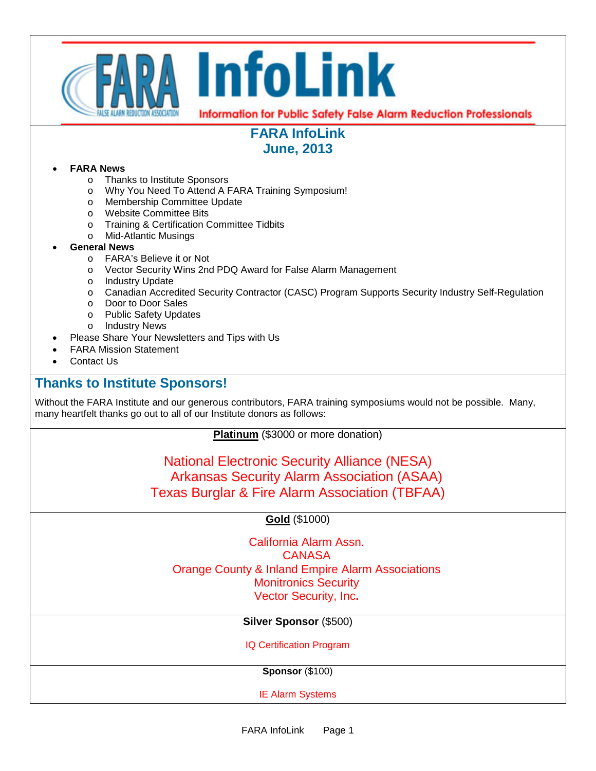

# **FARA InfoLink June, 2013**

#### • **FARA News**

- o Thanks to Institute Sponsors
- o Why You Need To Attend A FARA Training Symposium!
- o Membership Committee Update
- o Website Committee Bits
- o Training & Certification Committee Tidbits
- o Mid-Atlantic Musings

#### • **General News**

- o FARA's Believe it or Not
- o Vector Security Wins 2nd PDQ Award for False Alarm Management
- o Industry Update
- o Canadian Accredited Security Contractor (CASC) Program Supports Security Industry Self-Regulation
- o Door to Door Sales
- o Public Safety Updates
- o Industry News
- Please Share Your Newsletters and Tips with Us
- FARA Mission Statement
- Contact Us

### **Thanks to Institute Sponsors!**

Without the FARA Institute and our generous contributors, FARA training symposiums would not be possible. Many, many heartfelt thanks go out to all of our Institute donors as follows:

**Platinum** (\$3000 or more donation)

National Electronic Security Alliance (NESA) Arkansas Security Alarm Association (ASAA) Texas Burglar & Fire Alarm Association (TBFAA)

### **Gold** (\$1000)

California Alarm Assn. **CANASA** Orange County & Inland Empire Alarm Associations Monitronics Security Vector Security, Inc**.**

**Silver Sponsor** (\$500)

IQ Certification Program

**Sponsor** (\$100)

IE Alarm Systems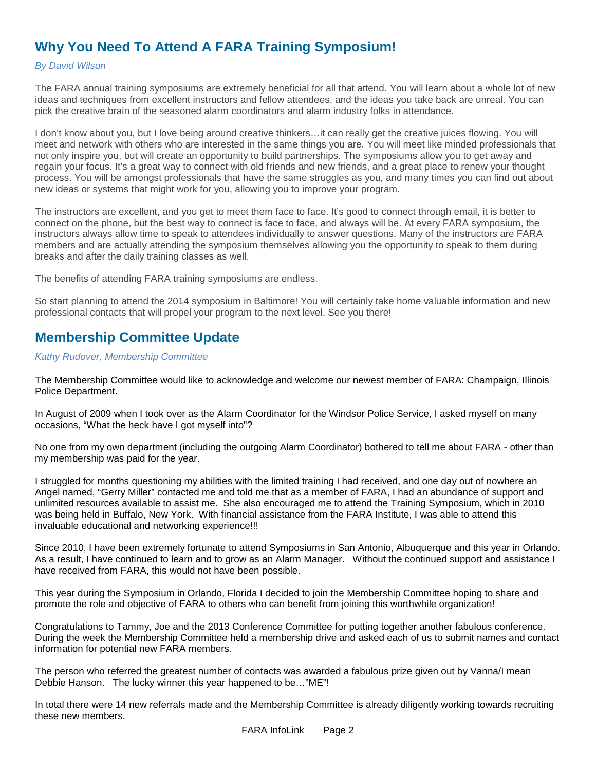## **Why You Need To Attend A FARA Training Symposium!**

#### *By David Wilson*

The FARA annual training symposiums are extremely beneficial for all that attend. You will learn about a whole lot of new ideas and techniques from excellent instructors and fellow attendees, and the ideas you take back are unreal. You can pick the creative brain of the seasoned alarm coordinators and alarm industry folks in attendance.

I don't know about you, but I love being around creative thinkers…it can really get the creative juices flowing. You will meet and network with others who are interested in the same things you are. You will meet like minded professionals that not only inspire you, but will create an opportunity to build partnerships. The symposiums allow you to get away and regain your focus. It's a great way to connect with old friends and new friends, and a great place to renew your thought process. You will be amongst professionals that have the same struggles as you, and many times you can find out about new ideas or systems that might work for you, allowing you to improve your program.

The instructors are excellent, and you get to meet them face to face. It's good to connect through email, it is better to connect on the phone, but the best way to connect is face to face, and always will be. At every FARA symposium, the instructors always allow time to speak to attendees individually to answer questions. Many of the instructors are FARA members and are actually attending the symposium themselves allowing you the opportunity to speak to them during breaks and after the daily training classes as well.

The benefits of attending FARA training symposiums are endless.

So start planning to attend the 2014 symposium in Baltimore! You will certainly take home valuable information and new professional contacts that will propel your program to the next level. See you there!

## **Membership Committee Update**

*Kathy Rudover, Membership Committee*

The Membership Committee would like to acknowledge and welcome our newest member of FARA: Champaign, Illinois Police Department.

In August of 2009 when I took over as the Alarm Coordinator for the Windsor Police Service, I asked myself on many occasions, "What the heck have I got myself into"?

No one from my own department (including the outgoing Alarm Coordinator) bothered to tell me about FARA - other than my membership was paid for the year.

I struggled for months questioning my abilities with the limited training I had received, and one day out of nowhere an Angel named, "Gerry Miller" contacted me and told me that as a member of FARA, I had an abundance of support and unlimited resources available to assist me. She also encouraged me to attend the Training Symposium, which in 2010 was being held in Buffalo, New York. With financial assistance from the FARA Institute, I was able to attend this invaluable educational and networking experience!!!

Since 2010, I have been extremely fortunate to attend Symposiums in San Antonio, Albuquerque and this year in Orlando. As a result, I have continued to learn and to grow as an Alarm Manager. Without the continued support and assistance I have received from FARA, this would not have been possible.

This year during the Symposium in Orlando, Florida I decided to join the Membership Committee hoping to share and promote the role and objective of FARA to others who can benefit from joining this worthwhile organization!

Congratulations to Tammy, Joe and the 2013 Conference Committee for putting together another fabulous conference. During the week the Membership Committee held a membership drive and asked each of us to submit names and contact information for potential new FARA members.

The person who referred the greatest number of contacts was awarded a fabulous prize given out by Vanna/I mean Debbie Hanson. The lucky winner this year happened to be…"ME"!

In total there were 14 new referrals made and the Membership Committee is already diligently working towards recruiting these new members.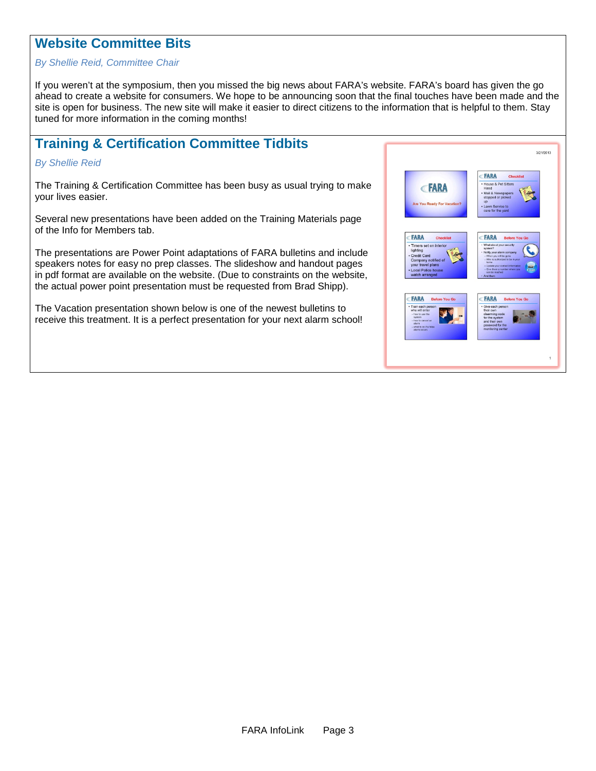### **Website Committee Bits**

#### *By Shellie Reid, Committee Chair*

If you weren't at the symposium, then you missed the big news about FARA's website. FARA's board has given the go ahead to create a website for consumers. We hope to be announcing soon that the final touches have been made and the site is open for business. The new site will make it easier to direct citizens to the information that is helpful to them. Stay tuned for more information in the coming months!

## **Training & Certification Committee Tidbits**

#### *By Shellie Reid*

The Training & Certification Committee has been busy as usual trying to make your lives easier.

Several new presentations have been added on the Training Materials page of the Info for Members tab.

The presentations are Power Point adaptations of FARA bulletins and include speakers notes for easy no prep classes. The slideshow and handout pages in pdf format are available on the website. (Due to constraints on the website, the actual power point presentation must be requested from Brad Shipp).

The Vacation presentation shown below is one of the newest bulletins to receive this treatment. It is a perfect presentation for your next alarm school!

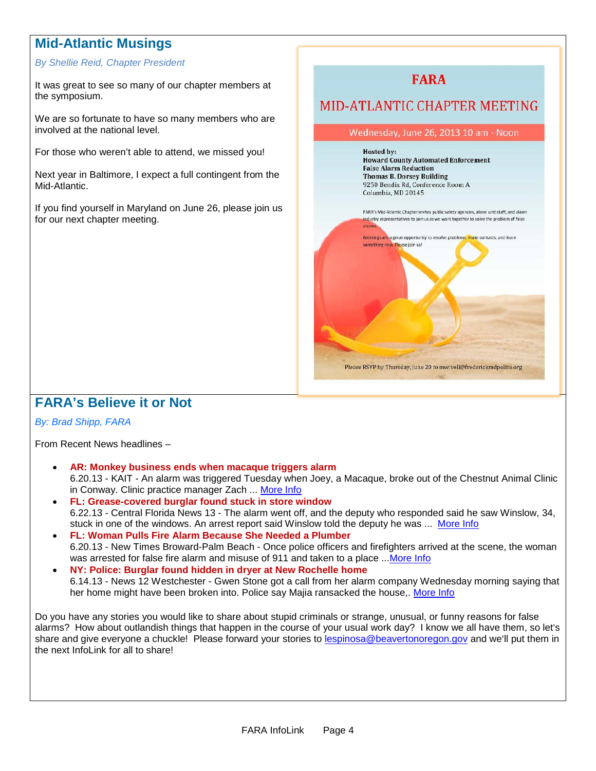## **Mid-Atlantic Musings**

#### *By Shellie Reid, Chapter President*

It was great to see so many of our chapter members at the symposium.

We are so fortunate to have so many members who are involved at the national level.

For those who weren't able to attend, we missed you!

Next year in Baltimore, I expect a full contingent from the Mid-Atlantic.

If you find yourself in Maryland on June 26, please join us for our next chapter meeting.



## **FARA's Believe it or Not**

#### *By: Brad Shipp, FARA*

From Recent News headlines –

- **AR: Monkey business ends when macaque triggers alarm** 6.20.13 - KAIT - An alarm was triggered Tuesday when Joey, a Macaque, broke out of the Chestnut Animal Clinic in Conway. Clinic practice manager Zach ... [More Info](http://www.kait8.com/story/22637292/monkey-business-ends-when-macaque-triggers-alarm)
- **FL: Grease-covered burglar found stuck in store window** 6.22.13 - Central Florida News 13 - The alarm went off, and the deputy who responded said he saw Winslow, 34, stuck in one of the windows. An arrest report said Winslow told the deputy he was ... [More Info](http://www.cfnews13.com/content/news/cfnews13/news/article.html/content/news/articles/cfn/2013/6/22/deputies_grease_cove)
- **FL: Woman Pulls Fire Alarm Because She Needed a Plumber** 6.20.13 - New Times Broward-Palm Beach - Once police officers and firefighters arrived at the scene, the woman was arrested for false fire alarm and misuse of 911 and taken to a place ..[.More Info](http://blogs.browardpalmbeach.com/pulp/2013/06/florida_woman_fire_alarm_plumber.php)
- **NY: Police: Burglar found hidden in dryer at New Rochelle home** 6.14.13 - News 12 Westchester - Gwen Stone got a call from her alarm company Wednesday morning saying that her home might have been broken into. Police say Majia ransacked the house,. [More Info](http://westchester.news12.com/news/police-burglar-found-hidden-in-dryer-at-new-rochelle-home-1.5478452)

Do you have any stories you would like to share about stupid criminals or strange, unusual, or funny reasons for false alarms? How about outlandish things that happen in the course of your usual work day? I know we all have them, so let's share and give everyone a chuckle! Please forward your stories to [lespinosa@beavertonoregon.gov](mailto:lespinosa@beavertonoregon.gov) and we'll put them in the next InfoLink for all to share!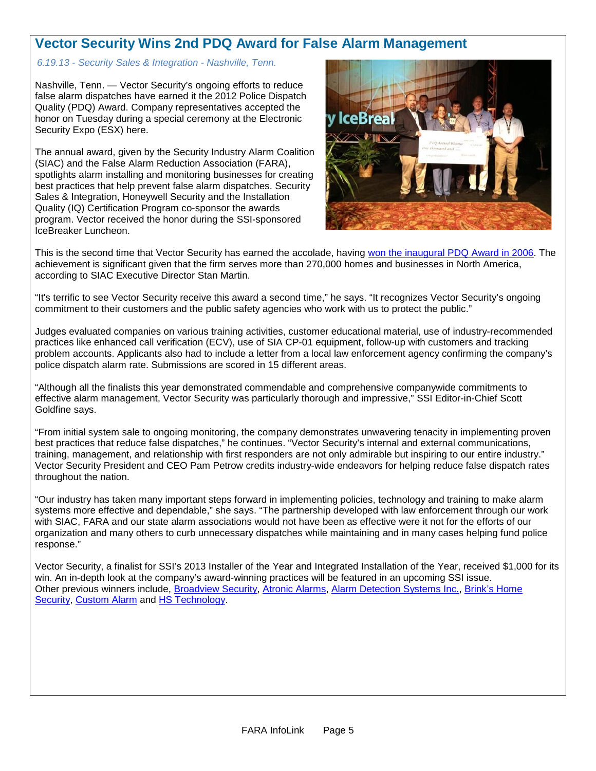## **Vector Security Wins 2nd PDQ Award for False Alarm Management**

#### *6.19.13 - Security Sales & Integration - Nashville, Tenn.*

Nashville, Tenn. — Vector Security's ongoing efforts to reduce false alarm dispatches have earned it the 2012 Police Dispatch Quality (PDQ) Award. Company representatives accepted the honor on Tuesday during a special ceremony at the Electronic Security Expo (ESX) here.

The annual award, given by the Security Industry Alarm Coalition (SIAC) and the False Alarm Reduction Association (FARA), spotlights alarm installing and monitoring businesses for creating best practices that help prevent false alarm dispatches. Security Sales & Integration, Honeywell Security and the Installation Quality (IQ) Certification Program co-sponsor the awards program. Vector received the honor during the SSI-sponsored IceBreaker Luncheon.



This is the second time that Vector Security has earned the accolade, having [won the inaugural PDQ Award in 2006.](http://www.securitysales.com/channel/intrusion/articles/2006/05/pdq-awards-validates-vectors-false-alarm-vigilance.aspx) The achievement is significant given that the firm serves more than 270,000 homes and businesses in North America, according to SIAC Executive Director Stan Martin.

"It's terrific to see Vector Security receive this award a second time," he says. "It recognizes Vector Security's ongoing commitment to their customers and the public safety agencies who work with us to protect the public."

Judges evaluated companies on various training activities, customer educational material, use of industry-recommended practices like enhanced call verification (ECV), use of SIA CP-01 equipment, follow-up with customers and tracking problem accounts. Applicants also had to include a letter from a local law enforcement agency confirming the company's police dispatch alarm rate. Submissions are scored in 15 different areas.

"Although all the finalists this year demonstrated commendable and comprehensive companywide commitments to effective alarm management, Vector Security was particularly thorough and impressive," SSI Editor-in-Chief Scott Goldfine says.

"From initial system sale to ongoing monitoring, the company demonstrates unwavering tenacity in implementing proven best practices that reduce false dispatches," he continues. "Vector Security's internal and external communications, training, management, and relationship with first responders are not only admirable but inspiring to our entire industry." Vector Security President and CEO Pam Petrow credits industry-wide endeavors for helping reduce false dispatch rates throughout the nation.

"Our industry has taken many important steps forward in implementing policies, technology and training to make alarm systems more effective and dependable," she says. "The partnership developed with law enforcement through our work with SIAC, FARA and our state alarm associations would not have been as effective were it not for the efforts of our organization and many others to curb unnecessary dispatches while maintaining and in many cases helping fund police response."

Vector Security, a finalist for SSI's 2013 Installer of the Year and Integrated Installation of the Year, received \$1,000 for its win. An in-depth look at the company's award-winning practices will be featured in an upcoming SSI issue. Other previous winners include, [Broadview Security,](http://www.securitysales.com/channel/business-management/articles/2010/08/broadview-s-false-alarm-vigilance.aspx) [Atronic Alarms,](http://www.securitysales.com/channel/fire-life-safety/articles/2009/05/atronic-has-tonic-for-false-alarm-ills.aspx) [Alarm Detection Systems Inc.,](http://www.securitysales.com/channel/fire-life-safety/articles/2008/05/ads-wages-war-on-false-alarms.aspx) [Brink's Home](http://www.securitysales.com/channel/fire-life-safety/articles/2007/05/on-the-brinks-of-no-false-alarms.aspx)  [Security,](http://www.securitysales.com/channel/fire-life-safety/articles/2007/05/on-the-brinks-of-no-false-alarms.aspx) [Custom Alarm](http://www.securitysales.com/channel/intrusion/articles/2011/08/false-alarm-reduction-is-customary-at-custom-alarm.aspx) and [HS Technology.](http://www.securitysales.com/channel/intrusion/articles/2012/10/hst-brings-the-hammer-down-on-false-alarms.aspx)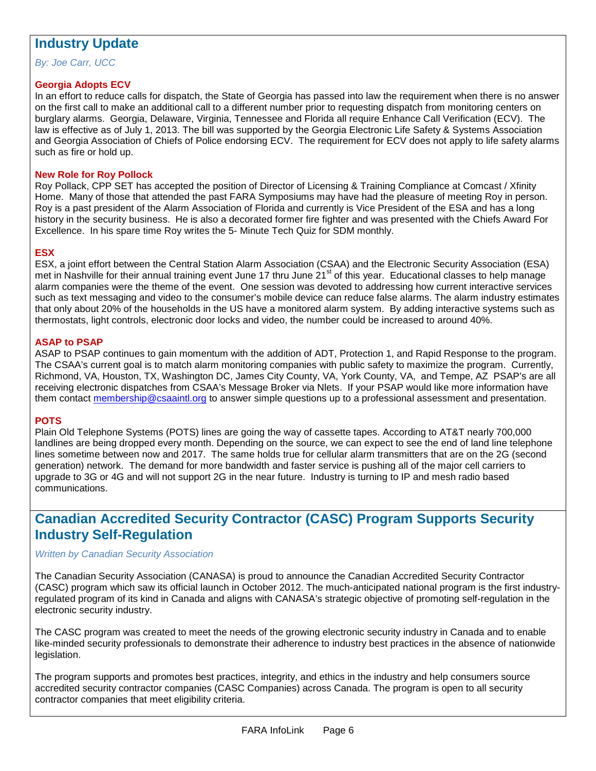### **Industry Update**

*By: Joe Carr, UCC*

#### **Georgia Adopts ECV**

In an effort to reduce calls for dispatch, the State of Georgia has passed into law the requirement when there is no answer on the first call to make an additional call to a different number prior to requesting dispatch from monitoring centers on burglary alarms. Georgia, Delaware, Virginia, Tennessee and Florida all require Enhance Call Verification (ECV). The law is effective as of July 1, 2013. The bill was supported by the Georgia Electronic Life Safety & Systems Association and Georgia Association of Chiefs of Police endorsing ECV. The requirement for ECV does not apply to life safety alarms such as fire or hold up.

#### **New Role for Roy Pollock**

Roy Pollack, CPP SET has accepted the position of Director of Licensing & Training Compliance at Comcast / Xfinity Home. Many of those that attended the past FARA Symposiums may have had the pleasure of meeting Roy in person. Roy is a past president of the Alarm Association of Florida and currently is Vice President of the ESA and has a long history in the security business. He is also a decorated former fire fighter and was presented with the Chiefs Award For Excellence. In his spare time Roy writes the 5- Minute Tech Quiz for SDM monthly.

#### **ESX**

ESX, a joint effort between the Central Station Alarm Association (CSAA) and the Electronic Security Association (ESA) met in Nashville for their annual training event June 17 thru June 21<sup>st</sup> of this year. Educational classes to help manage alarm companies were the theme of the event. One session was devoted to addressing how current interactive services such as text messaging and video to the consumer's mobile device can reduce false alarms. The alarm industry estimates that only about 20% of the households in the US have a monitored alarm system. By adding interactive systems such as thermostats, light controls, electronic door locks and video, the number could be increased to around 40%.

#### **ASAP to PSAP**

ASAP to PSAP continues to gain momentum with the addition of ADT, Protection 1, and Rapid Response to the program. The CSAA's current goal is to match alarm monitoring companies with public safety to maximize the program. Currently, Richmond, VA, Houston, TX, Washington DC, James City County, VA, York County, VA, and Tempe, AZ PSAP's are all receiving electronic dispatches from CSAA's Message Broker via Nlets. If your PSAP would like more information have them contact [membership@csaaintl.org](mailto:membership@csaaintl.org) to answer simple questions up to a professional assessment and presentation.

#### **POTS**

Plain Old Telephone Systems (POTS) lines are going the way of cassette tapes. According to AT&T nearly 700,000 landlines are being dropped every month. Depending on the source, we can expect to see the end of land line telephone lines sometime between now and 2017. The same holds true for cellular alarm transmitters that are on the 2G (second generation) network. The demand for more bandwidth and faster service is pushing all of the major cell carriers to upgrade to 3G or 4G and will not support 2G in the near future. Industry is turning to IP and mesh radio based communications.

## **Canadian Accredited Security Contractor (CASC) Program Supports Security Industry Self-Regulation**

#### *Written by Canadian Security Association*

The Canadian Security Association (CANASA) is proud to announce the Canadian Accredited Security Contractor (CASC) program which saw its official launch in October 2012. The much-anticipated national program is the first industryregulated program of its kind in Canada and aligns with CANASA's strategic objective of promoting self-regulation in the electronic security industry.

The CASC program was created to meet the needs of the growing electronic security industry in Canada and to enable like-minded security professionals to demonstrate their adherence to industry best practices in the absence of nationwide legislation.

The program supports and promotes best practices, integrity, and ethics in the industry and help consumers source accredited security contractor companies (CASC Companies) across Canada. The program is open to all security contractor companies that meet eligibility criteria.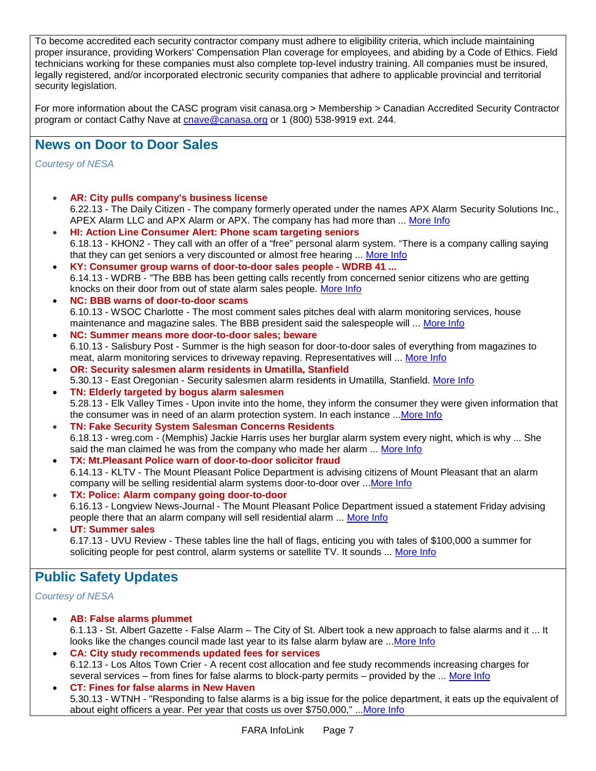To become accredited each security contractor company must adhere to eligibility criteria, which include maintaining proper insurance, providing Workers' Compensation Plan coverage for employees, and abiding by a Code of Ethics. Field technicians working for these companies must also complete top-level industry training. All companies must be insured, legally registered, and/or incorporated electronic security companies that adhere to applicable provincial and territorial security legislation.

For more information about the CASC program visit canasa.org > Membership > Canadian Accredited Security Contractor program or contact Cathy Nave at [cnave@canasa.org](mailto:cnave@canasa.org) or 1 (800) 538-9919 ext. 244.

### **News on Door to Door Sales**

*Courtesy of NESA*

- **AR: City pulls company's business license**  6.22.13 - The Daily Citizen - The company formerly operated under the names APX Alarm Security Solutions Inc., APEX Alarm LLC and APX Alarm or APX. The company has had more than ... [More Info](http://www.thedailycitizen.com/news/local/article_f9fc3550-db64-11e2-8320-001a4bcf887a.html)
- **HI: Action Line Consumer Alert: Phone scam targeting seniors**  6.18.13 - KHON2 - They call with an offer of a "free" personal alarm system. "There is a company calling saying that they can get seniors a very discounted or almost free hearing ... [More Info](http://www.khon2.com/2013/06/17/action-line-consumer-alert-phone-scam-targeting-seniors/)
- **KY: Consumer group warns of door-to-door sales people - WDRB 41 ...** 6.14.13 - WDRB - "The BBB has been getting calls recently from concerned senior citizens who are getting knocks on their door from out of state alarm sales people. [More Info](http://www.wdrb.com/story/22587349/consumer-groups-warn-of-door-to-door-sales-people)
- **NC: BBB warns of door-to-door scams** 6.10.13 - WSOC Charlotte - The most comment sales pitches deal with alarm monitoring services, house maintenance and magazine sales. The BBB president said the salespeople will ... [More Info](http://www.wsoctv.com/news/news/local/bbb-warns-door-door-scams/nYG69/)
- **NC: Summer means more door-to-door sales; beware** 6.10.13 - Salisbury Post - Summer is the high season for door-to-door sales of everything from magazines to meat, alarm monitoring services to driveway repaving. Representatives will ... [More Info](http://www.salisburypost.com/article/20130610/SP01/130619972/1023/summer-means-more-door-to-door-sales-beware)
- **OR: Security salesmen alarm residents in Umatilla, Stanfield** 5.30.13 - East Oregonian - Security salesmen alarm residents in Umatilla, Stanfield. [More Info](http://www.eastoregonian.com/news/local_news/security-salesmen-alarm-residents-in-umatilla-stanfield/article_0ea6520c-c8c7-11e2-baff-001a4bcf887a.html)
- **TN: Elderly targeted by bogus alarm salesmen** 5.28.13 - Elk Valley Times - Upon invite into the home, they inform the consumer they were given information that the consumer was in need of an alarm protection system. In each instance ..[.More Info](http://www.elkvalleytimes.com/?p=19034)
- **TN: Fake Security System Salesman Concerns Residents**  6.18.13 - wreg.com - (Memphis) Jackie Harris uses her burglar alarm system every night, which is why ... She said the man claimed he was from the company who made her alarm ... [More Info](http://java.com/en/download/installed.jsp?detect=jre)
- **TX: Mt.Pleasant Police warn of door-to-door solicitor fraud** 6.14.13 - KLTV - The Mount Pleasant Police Department is advising citizens of Mount Pleasant that an alarm company will be selling residential alarm systems door-to-door over ..[.More Info](http://mtpleasant.kltv.com/news/business/183611-mtpleasant-police-warn-door-door-solicitor-fraud)
- **TX: Police: Alarm company going door-to-door**  6.16.13 - Longview News-Journal - The Mount Pleasant Police Department issued a statement Friday advising people there that an alarm company will sell residential alarm ... [More Info](http://www.news-journal.com/news/police/police-alarm-company-going-door-to-door/article_abfc6c8a-46d2-50fc-8d46-14d9b54c19c5.html)
- **UT: Summer sales**  6.17.13 - UVU Review - These tables line the hall of flags, enticing you with tales of \$100,000 a summer for soliciting people for pest control, alarm systems or satellite TV. It sounds ... [More Info](http://www.uvureview.com/2013/06/17/summer-sales/)

# **Public Safety Updates**

*Courtesy of NESA*

- **AB: False alarms plummet** 6.1.13 - St. Albert Gazette - False Alarm – The City of St. Albert took a new approach to false alarms and it ... It looks like the changes council made last year to its false alarm bylaw are ..[.More Info](http://www.stalbertgazette.com/article/20130601/SAG0801/306019995/-1/sag0801/false-alarms-plummet)
- **CA: City study recommends updated fees for services** 6.12.13 - Los Altos Town Crier - A recent cost allocation and fee study recommends increasing charges for several services – from fines for false alarms to block-party permits – provided by the ... [More Info](http://www.losaltosonline.com/index.php?option=com_content&task=view&id=46441&Itemid=46)
- **CT: Fines for false alarms in New Haven** 5.30.13 - WTNH - "Responding to false alarms is a big issue for the police department, it eats up the equivalent of about eight officers a year. Per year that costs us over \$750,000," ... More Info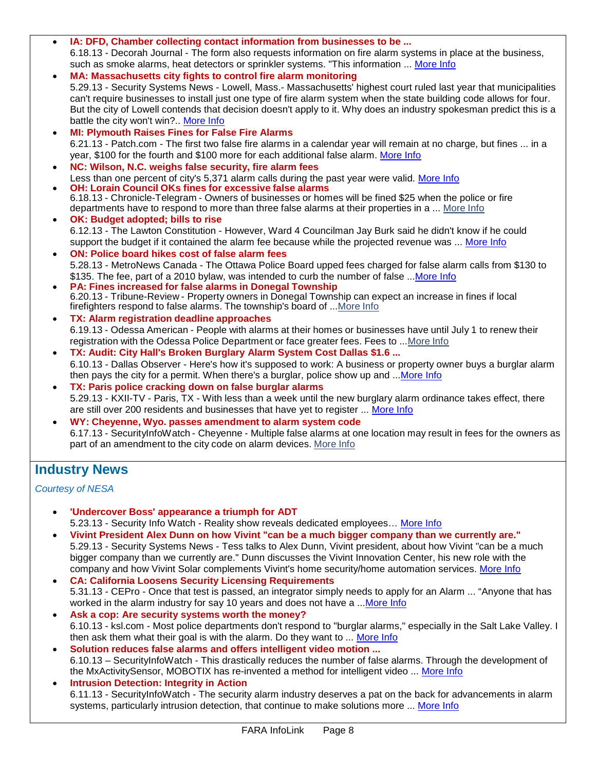- **IA: DFD, Chamber collecting contact information from businesses to be ...** 6.18.13 - Decorah Journal - The form also requests information on fire alarm systems in place at the business, such as smoke alarms, heat detectors or sprinkler systems. "This information ... [More Info](http://www.decorahnewspapers.com/main.asp?SectionID=2&SubSectionID=13&ArticleID=31366)
- **MA: Massachusetts city fights to control fire alarm monitoring** 5.29.13 - Security Systems News - Lowell, Mass.- Massachusetts' highest court ruled last year that municipalities can't require businesses to install just one type of fire alarm system when the state building code allows for four. But the city of Lowell contends that decision doesn't apply to it. Why does an industry spokesman predict this is a battle the city won't win?.. [More Info](http://securitysystemsnews.com/article/massachusetts-city-fights-control-fire-alarm-monitoring)
- **MI: Plymouth Raises Fines for False Fire Alarms** 6.21.13 - Patch.com - The first two false fire alarms in a calendar year will remain at no charge, but fines ... in a year, \$100 for the fourth and \$100 more for each additional false alarm. [More Info](http://plymouth-mi.patch.com/groups/politics-and-elections/p/plymouth-raises-fines-for-false-fire-alarms)
- **NC: Wilson, N.C. weighs false security, fire alarm fees** Less than one percent of city's 5,371 alarm calls during the past year were valid. [More Info](http://news.cygnusb2bmail.com/portal/wts/ccmci9edEPnaee3jzqivmx8a4CETrubMiXDRuDD2PYj)

• **OH: Lorain Council OKs fines for excessive false alarms** 6.18.13 - Chronicle-Telegram - Owners of businesses or homes will be fined \$25 when the police or fire departments have to respond to more than three false alarms at their properties in a ... [More](http://chronicle.northcoastnow.com/2013/06/18/lorain-council-oks-fines-for-excessive-false-alarms/) Info

- **OK: Budget adopted; bills to rise** 6.12.13 - The Lawton Constitution - However, Ward 4 Councilman Jay Burk said he didn't know if he could support the budget if it contained the alarm fee because while the projected revenue was ... [More Info](http://www.swoknews.com/news-top/local/item/7944-budget-adopted-bills-to-rise)
- **ON: Police board hikes cost of false alarm fees** 5.28.13 - MetroNews Canada - The Ottawa Police Board upped fees charged for false alarm calls from \$130 to \$135. The fee, part of a 2010 bylaw, was intended to curb the number of false ... More Info
- **PA: Fines increased for false alarms in Donegal Township** 6.20.13 - Tribune-Review - Property owners in Donegal Township can expect an increase in fines if local firefighters respond to false alarms. The township's board of [...More](http://triblive.com/neighborhoods/yourmtpleasant/4191716-74/false-stull-alarms) Info
- **TX: Alarm registration deadline approaches** 6.19.13 - Odessa American - People with alarms at their homes or businesses have until July 1 to renew their registration with the Odessa Police Department or face greater fees. Fees to [...More](http://www.oaoa.com/news/crime_justice/law_enforcement/article_6d898168-d858-11e2-ba7f-0019bb30f31a.html) Info
- **TX: Audit: City Hall's Broken Burglary Alarm System Cost Dallas \$1.6 ...** 6.10.13 - Dallas Observer - Here's how it's supposed to work: A business or property owner buys a burglar alarm then pays the city for a permit. When there's a burglar, police show up and ..[.More Info](http://blogs.dallasobserver.com/unfairpark/2013/06/audit_city_halls_broken_burgla.php)
- **TX: Paris police cracking down on false burglar alarms** 5.29.13 - KXII-TV - Paris, TX - With less than a week until the new burglary alarm ordinance takes effect, there are still over 200 residents and businesses that have yet to register ... [More Info](http://www.kxii.com/news/headlines/Paris-cracks-down-on-false-alarms-209280461.html)
- **WY: Cheyenne, Wyo. passes amendment to alarm system code** 6.17.13 - SecurityInfoWatch - Cheyenne - Multiple false alarms at one location may result in fees for the owners as part of an amendment to the city code on alarm devices. [More](http://www.securityinfowatch.com/news/10962544/cheyenne-wyo-amends-code-to-allow-for-false-alarm-fees) Info

# **Industry News**

### *Courtesy of NESA*

- **'Undercover Boss' appearance a triumph for ADT** 5.23.13 - Security Info Watch - Reality show reveals dedicated employees… [More Info](http://www.securityinfowatch.com/blog/10948276/undercover-boss-appearance-a-triumph-for-adt?utm_source=SIW+Security+Markets+%26+Systems&utm_medium=email&utm_campaign=CPS130522003)
- **Vivint President Alex Dunn on how Vivint "can be a much bigger company than we currently are."** 5.29.13 - Security Systems News - Tess talks to Alex Dunn, Vivint president, about how Vivint "can be a much bigger company than we currently are." Dunn discusses the Vivint Innovation Center, his new role with the company and how Vivint Solar complements Vivint's home security/home automation services. [More Info](http://www.securitysystemsnews.com/videos/vivint-president-alex-dunn-companys-plans-growth)
- **CA: California Loosens Security Licensing Requirements** 5.31.13 - CEPro - Once that test is passed, an integrator simply needs to apply for an Alarm ... "Anyone that has worked in the alarm industry for say 10 years and does not have a ..[.More Info](http://www.cepro.com/article/california_loosens_security_licensing_requirements/)
- **Ask a cop: Are security systems worth the money?** 6.10.13 - ksl.com - Most police departments don't respond to "burglar alarms," especially in the Salt Lake Valley. I then ask them what their goal is with the alarm. Do they want to ... [More Info](http://www.ksl.com/?sid=25506717&nid=148)
- **Solution reduces false alarms and offers intelligent video motion ...** 6.10.13 – SecurityInfoWatch - This drastically reduces the number of false alarms. Through the development of the MxActivitySensor, MOBOTIX has re-invented a method for intelligent video ... [More Info](http://www.securityinfowatch.com/product/10958018/mobotix-corp-mobotix-mxactivitysensor)
- **Intrusion Detection: Integrity in Action** 6.11.13 - SecurityInfoWatch - The security alarm industry deserves a pat on the back for advancements in alarm systems, particularly intrusion detection, that continue to make solutions more ... [More Info](http://www.securityinfowatch.com/article/10948530/intrusion-detection-integrity-in-action)